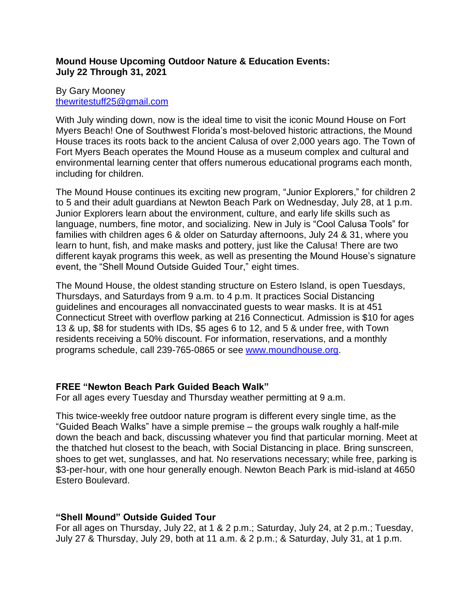## **Mound House Upcoming Outdoor Nature & Education Events: July 22 Through 31, 2021**

## By Gary Mooney [thewritestuff25@gmail.com](mailto:thewritestuff25@gmail.com)

With July winding down, now is the ideal time to visit the iconic Mound House on Fort Myers Beach! One of Southwest Florida's most-beloved historic attractions, the Mound House traces its roots back to the ancient Calusa of over 2,000 years ago. The Town of Fort Myers Beach operates the Mound House as a museum complex and cultural and environmental learning center that offers numerous educational programs each month, including for children.

The Mound House continues its exciting new program, "Junior Explorers," for children 2 to 5 and their adult guardians at Newton Beach Park on Wednesday, July 28, at 1 p.m. Junior Explorers learn about the environment, culture, and early life skills such as language, numbers, fine motor, and socializing. New in July is "Cool Calusa Tools" for families with children ages 6 & older on Saturday afternoons, July 24 & 31, where you learn to hunt, fish, and make masks and pottery, just like the Calusa! There are two different kayak programs this week, as well as presenting the Mound House's signature event, the "Shell Mound Outside Guided Tour," eight times.

The Mound House, the oldest standing structure on Estero Island, is open Tuesdays, Thursdays, and Saturdays from 9 a.m. to 4 p.m. It practices Social Distancing guidelines and encourages all nonvaccinated guests to wear masks. It is at 451 Connecticut Street with overflow parking at 216 Connecticut. Admission is \$10 for ages 13 & up, \$8 for students with IDs, \$5 ages 6 to 12, and 5 & under free, with Town residents receiving a 50% discount. For information, reservations, and a monthly programs schedule, call 239-765-0865 or see [www.moundhouse.org.](http://www.moundhouse.org/)

# **FREE "Newton Beach Park Guided Beach Walk"**

For all ages every Tuesday and Thursday weather permitting at 9 a.m.

This twice-weekly free outdoor nature program is different every single time, as the "Guided Beach Walks" have a simple premise – the groups walk roughly a half-mile down the beach and back, discussing whatever you find that particular morning. Meet at the thatched hut closest to the beach, with Social Distancing in place. Bring sunscreen, shoes to get wet, sunglasses, and hat. No reservations necessary; while free, parking is \$3-per-hour, with one hour generally enough. Newton Beach Park is mid-island at 4650 Estero Boulevard.

# **"Shell Mound" Outside Guided Tour**

For all ages on Thursday, July 22, at 1 & 2 p.m.; Saturday, July 24, at 2 p.m.; Tuesday, July 27 & Thursday, July 29, both at 11 a.m. & 2 p.m.; & Saturday, July 31, at 1 p.m.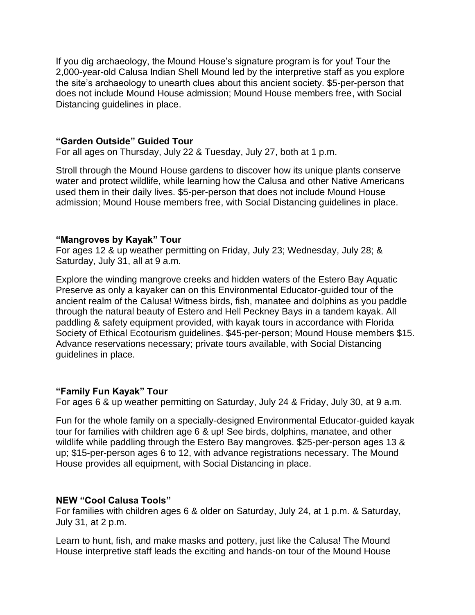If you dig archaeology, the Mound House's signature program is for you! Tour the 2,000-year-old Calusa Indian Shell Mound led by the interpretive staff as you explore the site's archaeology to unearth clues about this ancient society. \$5-per-person that does not include Mound House admission; Mound House members free, with Social Distancing guidelines in place.

### **"Garden Outside" Guided Tour**

For all ages on Thursday, July 22 & Tuesday, July 27, both at 1 p.m.

Stroll through the Mound House gardens to discover how its unique plants conserve water and protect wildlife, while learning how the Calusa and other Native Americans used them in their daily lives. \$5-per-person that does not include Mound House admission; Mound House members free, with Social Distancing guidelines in place.

### **"Mangroves by Kayak" Tour**

For ages 12 & up weather permitting on Friday, July 23; Wednesday, July 28; & Saturday, July 31, all at 9 a.m.

Explore the winding mangrove creeks and hidden waters of the Estero Bay Aquatic Preserve as only a kayaker can on this Environmental Educator-guided tour of the ancient realm of the Calusa! Witness birds, fish, manatee and dolphins as you paddle through the natural beauty of Estero and Hell Peckney Bays in a tandem kayak. All paddling & safety equipment provided, with kayak tours in accordance with Florida Society of Ethical Ecotourism guidelines. \$45-per-person; Mound House members \$15. Advance reservations necessary; private tours available, with Social Distancing guidelines in place.

## **"Family Fun Kayak" Tour**

For ages 6 & up weather permitting on Saturday, July 24 & Friday, July 30, at 9 a.m.

Fun for the whole family on a specially-designed Environmental Educator-guided kayak tour for families with children age 6 & up! See birds, dolphins, manatee, and other wildlife while paddling through the Estero Bay mangroves. \$25-per-person ages 13 & up; \$15-per-person ages 6 to 12, with advance registrations necessary. The Mound House provides all equipment, with Social Distancing in place.

#### **NEW "Cool Calusa Tools"**

For families with children ages 6 & older on Saturday, July 24, at 1 p.m. & Saturday, July 31, at 2 p.m.

Learn to hunt, fish, and make masks and pottery, just like the Calusa! The Mound House interpretive staff leads the exciting and hands-on tour of the Mound House